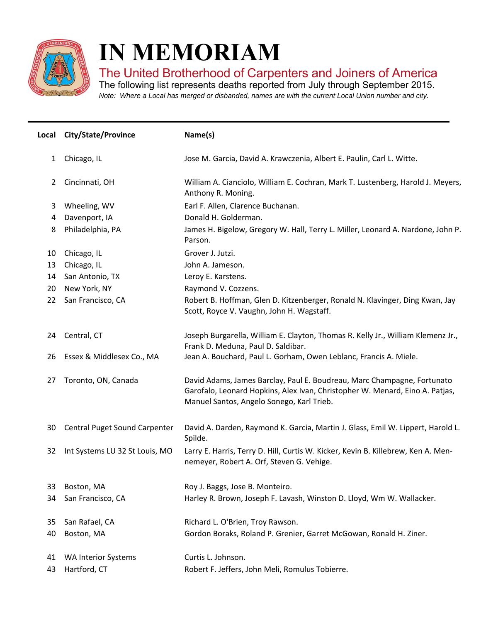

I

## **IN MEMORIAM**

## The United Brotherhood of Carpenters and Joiners of America

The following list represents deaths reported from July through September 2015. *Note: Where a Local has merged or disbanded, names are with the current Local Union number and city.*

|                | Local City/State/Province      | Name(s)                                                                                                                                                                                              |
|----------------|--------------------------------|------------------------------------------------------------------------------------------------------------------------------------------------------------------------------------------------------|
| $\mathbf{1}$   | Chicago, IL                    | Jose M. Garcia, David A. Krawczenia, Albert E. Paulin, Carl L. Witte.                                                                                                                                |
| $\overline{2}$ | Cincinnati, OH                 | William A. Cianciolo, William E. Cochran, Mark T. Lustenberg, Harold J. Meyers,<br>Anthony R. Moning.                                                                                                |
| 3              | Wheeling, WV                   | Earl F. Allen, Clarence Buchanan.                                                                                                                                                                    |
| 4              | Davenport, IA                  | Donald H. Golderman.                                                                                                                                                                                 |
| 8              | Philadelphia, PA               | James H. Bigelow, Gregory W. Hall, Terry L. Miller, Leonard A. Nardone, John P.<br>Parson.                                                                                                           |
| 10             | Chicago, IL                    | Grover J. Jutzi.                                                                                                                                                                                     |
| 13             | Chicago, IL                    | John A. Jameson.                                                                                                                                                                                     |
| 14             | San Antonio, TX                | Leroy E. Karstens.                                                                                                                                                                                   |
| 20             | New York, NY                   | Raymond V. Cozzens.                                                                                                                                                                                  |
| 22             | San Francisco, CA              | Robert B. Hoffman, Glen D. Kitzenberger, Ronald N. Klavinger, Ding Kwan, Jay<br>Scott, Royce V. Vaughn, John H. Wagstaff.                                                                            |
| 24             | Central, CT                    | Joseph Burgarella, William E. Clayton, Thomas R. Kelly Jr., William Klemenz Jr.,<br>Frank D. Meduna, Paul D. Saldibar.                                                                               |
| 26             | Essex & Middlesex Co., MA      | Jean A. Bouchard, Paul L. Gorham, Owen Leblanc, Francis A. Miele.                                                                                                                                    |
| 27             | Toronto, ON, Canada            | David Adams, James Barclay, Paul E. Boudreau, Marc Champagne, Fortunato<br>Garofalo, Leonard Hopkins, Alex Ivan, Christopher W. Menard, Eino A. Patjas,<br>Manuel Santos, Angelo Sonego, Karl Trieb. |
| 30             | Central Puget Sound Carpenter  | David A. Darden, Raymond K. Garcia, Martin J. Glass, Emil W. Lippert, Harold L.<br>Spilde.                                                                                                           |
| 32             | Int Systems LU 32 St Louis, MO | Larry E. Harris, Terry D. Hill, Curtis W. Kicker, Kevin B. Killebrew, Ken A. Men-<br>nemeyer, Robert A. Orf, Steven G. Vehige.                                                                       |
| 33             | Boston, MA                     | Roy J. Baggs, Jose B. Monteiro.                                                                                                                                                                      |
| 34             | San Francisco, CA              | Harley R. Brown, Joseph F. Lavash, Winston D. Lloyd, Wm W. Wallacker.                                                                                                                                |
| 35             | San Rafael, CA                 | Richard L. O'Brien, Troy Rawson.                                                                                                                                                                     |
| 40             | Boston, MA                     | Gordon Boraks, Roland P. Grenier, Garret McGowan, Ronald H. Ziner.                                                                                                                                   |
| 41             | <b>WA Interior Systems</b>     | Curtis L. Johnson.                                                                                                                                                                                   |
| 43             | Hartford, CT                   | Robert F. Jeffers, John Meli, Romulus Tobierre.                                                                                                                                                      |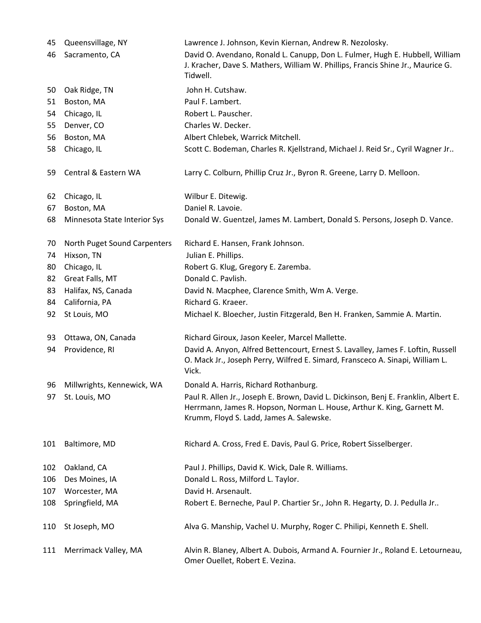| 45  | Queensvillage, NY            | Lawrence J. Johnson, Kevin Kiernan, Andrew R. Nezolosky.                                                                                                                                                  |
|-----|------------------------------|-----------------------------------------------------------------------------------------------------------------------------------------------------------------------------------------------------------|
| 46  | Sacramento, CA               | David O. Avendano, Ronald L. Canupp, Don L. Fulmer, Hugh E. Hubbell, William<br>J. Kracher, Dave S. Mathers, William W. Phillips, Francis Shine Jr., Maurice G.<br>Tidwell.                               |
| 50  | Oak Ridge, TN                | John H. Cutshaw.                                                                                                                                                                                          |
| 51  | Boston, MA                   | Paul F. Lambert.                                                                                                                                                                                          |
| 54  | Chicago, IL                  | Robert L. Pauscher.                                                                                                                                                                                       |
| 55  | Denver, CO                   | Charles W. Decker.                                                                                                                                                                                        |
| 56  | Boston, MA                   | Albert Chlebek, Warrick Mitchell.                                                                                                                                                                         |
| 58  | Chicago, IL                  | Scott C. Bodeman, Charles R. Kjellstrand, Michael J. Reid Sr., Cyril Wagner Jr                                                                                                                            |
| 59  | Central & Eastern WA         | Larry C. Colburn, Phillip Cruz Jr., Byron R. Greene, Larry D. Melloon.                                                                                                                                    |
| 62  | Chicago, IL                  | Wilbur E. Ditewig.                                                                                                                                                                                        |
| 67  | Boston, MA                   | Daniel R. Lavoie.                                                                                                                                                                                         |
| 68  | Minnesota State Interior Sys | Donald W. Guentzel, James M. Lambert, Donald S. Persons, Joseph D. Vance.                                                                                                                                 |
| 70  | North Puget Sound Carpenters | Richard E. Hansen, Frank Johnson.                                                                                                                                                                         |
| 74  | Hixson, TN                   | Julian E. Phillips.                                                                                                                                                                                       |
| 80  | Chicago, IL                  | Robert G. Klug, Gregory E. Zaremba.                                                                                                                                                                       |
| 82  | Great Falls, MT              | Donald C. Pavlish.                                                                                                                                                                                        |
| 83  | Halifax, NS, Canada          | David N. Macphee, Clarence Smith, Wm A. Verge.                                                                                                                                                            |
| 84  | California, PA               | Richard G. Kraeer.                                                                                                                                                                                        |
| 92  | St Louis, MO                 | Michael K. Bloecher, Justin Fitzgerald, Ben H. Franken, Sammie A. Martin.                                                                                                                                 |
| 93  | Ottawa, ON, Canada           | Richard Giroux, Jason Keeler, Marcel Mallette.                                                                                                                                                            |
| 94  | Providence, RI               | David A. Anyon, Alfred Bettencourt, Ernest S. Lavalley, James F. Loftin, Russell<br>O. Mack Jr., Joseph Perry, Wilfred E. Simard, Fransceco A. Sinapi, William L.<br>Vick.                                |
| 96  | Millwrights, Kennewick, WA   | Donald A. Harris, Richard Rothanburg.                                                                                                                                                                     |
| 97  | St. Louis, MO                | Paul R. Allen Jr., Joseph E. Brown, David L. Dickinson, Benj E. Franklin, Albert E.<br>Herrmann, James R. Hopson, Norman L. House, Arthur K. King, Garnett M.<br>Krumm, Floyd S. Ladd, James A. Salewske. |
| 101 | Baltimore, MD                | Richard A. Cross, Fred E. Davis, Paul G. Price, Robert Sisselberger.                                                                                                                                      |
| 102 | Oakland, CA                  | Paul J. Phillips, David K. Wick, Dale R. Williams.                                                                                                                                                        |
| 106 | Des Moines, IA               | Donald L. Ross, Milford L. Taylor.                                                                                                                                                                        |
| 107 | Worcester, MA                | David H. Arsenault.                                                                                                                                                                                       |
| 108 | Springfield, MA              | Robert E. Berneche, Paul P. Chartier Sr., John R. Hegarty, D. J. Pedulla Jr                                                                                                                               |
| 110 | St Joseph, MO                | Alva G. Manship, Vachel U. Murphy, Roger C. Philipi, Kenneth E. Shell.                                                                                                                                    |
| 111 | Merrimack Valley, MA         | Alvin R. Blaney, Albert A. Dubois, Armand A. Fournier Jr., Roland E. Letourneau,<br>Omer Ouellet, Robert E. Vezina.                                                                                       |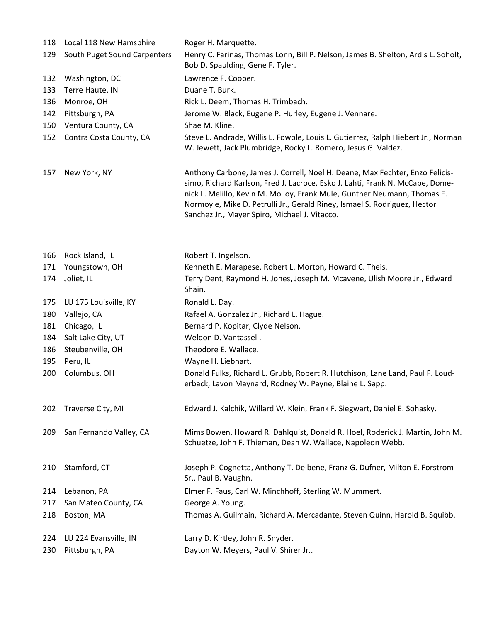| 118 | Local 118 New Hamsphire      | Roger H. Marquette.                                                                                                                                                                                                                                                                                                                                                     |
|-----|------------------------------|-------------------------------------------------------------------------------------------------------------------------------------------------------------------------------------------------------------------------------------------------------------------------------------------------------------------------------------------------------------------------|
| 129 | South Puget Sound Carpenters | Henry C. Farinas, Thomas Lonn, Bill P. Nelson, James B. Shelton, Ardis L. Soholt,<br>Bob D. Spaulding, Gene F. Tyler.                                                                                                                                                                                                                                                   |
| 132 | Washington, DC               | Lawrence F. Cooper.                                                                                                                                                                                                                                                                                                                                                     |
| 133 | Terre Haute, IN              | Duane T. Burk.                                                                                                                                                                                                                                                                                                                                                          |
| 136 | Monroe, OH                   | Rick L. Deem, Thomas H. Trimbach.                                                                                                                                                                                                                                                                                                                                       |
| 142 | Pittsburgh, PA               | Jerome W. Black, Eugene P. Hurley, Eugene J. Vennare.                                                                                                                                                                                                                                                                                                                   |
| 150 | Ventura County, CA           | Shae M. Kline.                                                                                                                                                                                                                                                                                                                                                          |
| 152 | Contra Costa County, CA      | Steve L. Andrade, Willis L. Fowble, Louis L. Gutierrez, Ralph Hiebert Jr., Norman<br>W. Jewett, Jack Plumbridge, Rocky L. Romero, Jesus G. Valdez.                                                                                                                                                                                                                      |
| 157 | New York, NY                 | Anthony Carbone, James J. Correll, Noel H. Deane, Max Fechter, Enzo Felicis-<br>simo, Richard Karlson, Fred J. Lacroce, Esko J. Lahti, Frank N. McCabe, Dome-<br>nick L. Melillo, Kevin M. Molloy, Frank Mule, Gunther Neumann, Thomas F.<br>Normoyle, Mike D. Petrulli Jr., Gerald Riney, Ismael S. Rodriguez, Hector<br>Sanchez Jr., Mayer Spiro, Michael J. Vitacco. |
| 166 | Rock Island, IL              | Robert T. Ingelson.                                                                                                                                                                                                                                                                                                                                                     |
| 171 | Youngstown, OH               | Kenneth E. Marapese, Robert L. Morton, Howard C. Theis.                                                                                                                                                                                                                                                                                                                 |
| 174 | Joliet, IL                   | Terry Dent, Raymond H. Jones, Joseph M. Mcavene, Ulish Moore Jr., Edward<br>Shain.                                                                                                                                                                                                                                                                                      |
| 175 | LU 175 Louisville, KY        | Ronald L. Day.                                                                                                                                                                                                                                                                                                                                                          |
| 180 | Vallejo, CA                  | Rafael A. Gonzalez Jr., Richard L. Hague.                                                                                                                                                                                                                                                                                                                               |
| 181 | Chicago, IL                  | Bernard P. Kopitar, Clyde Nelson.                                                                                                                                                                                                                                                                                                                                       |
| 184 | Salt Lake City, UT           | Weldon D. Vantassell.                                                                                                                                                                                                                                                                                                                                                   |
| 186 | Steubenville, OH             | Theodore E. Wallace.                                                                                                                                                                                                                                                                                                                                                    |
| 195 | Peru, IL                     | Wayne H. Liebhart.                                                                                                                                                                                                                                                                                                                                                      |
| 200 | Columbus, OH                 | Donald Fulks, Richard L. Grubb, Robert R. Hutchison, Lane Land, Paul F. Loud-<br>erback, Lavon Maynard, Rodney W. Payne, Blaine L. Sapp.                                                                                                                                                                                                                                |
| 202 | Traverse City, MI            | Edward J. Kalchik, Willard W. Klein, Frank F. Siegwart, Daniel E. Sohasky.                                                                                                                                                                                                                                                                                              |
| 209 | San Fernando Valley, CA      | Mims Bowen, Howard R. Dahlquist, Donald R. Hoel, Roderick J. Martin, John M.<br>Schuetze, John F. Thieman, Dean W. Wallace, Napoleon Webb.                                                                                                                                                                                                                              |
| 210 | Stamford, CT                 | Joseph P. Cognetta, Anthony T. Delbene, Franz G. Dufner, Milton E. Forstrom<br>Sr., Paul B. Vaughn.                                                                                                                                                                                                                                                                     |
| 214 | Lebanon, PA                  | Elmer F. Faus, Carl W. Minchhoff, Sterling W. Mummert.                                                                                                                                                                                                                                                                                                                  |
| 217 | San Mateo County, CA         | George A. Young.                                                                                                                                                                                                                                                                                                                                                        |
| 218 | Boston, MA                   | Thomas A. Guilmain, Richard A. Mercadante, Steven Quinn, Harold B. Squibb.                                                                                                                                                                                                                                                                                              |
| 224 | LU 224 Evansville, IN        | Larry D. Kirtley, John R. Snyder.                                                                                                                                                                                                                                                                                                                                       |
| 230 | Pittsburgh, PA               | Dayton W. Meyers, Paul V. Shirer Jr                                                                                                                                                                                                                                                                                                                                     |
|     |                              |                                                                                                                                                                                                                                                                                                                                                                         |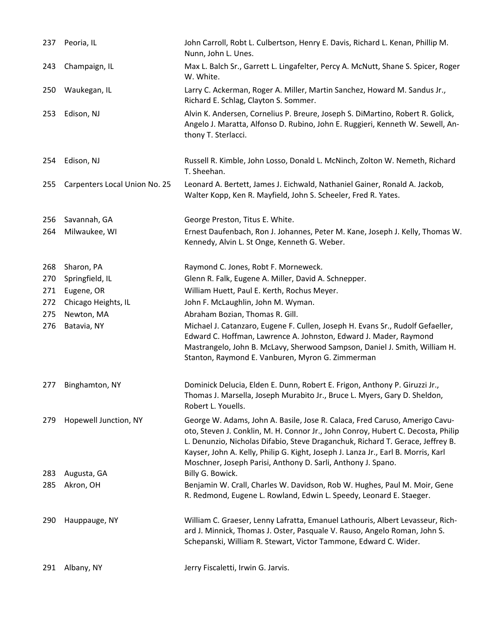| 237 | Peoria, IL                    | John Carroll, Robt L. Culbertson, Henry E. Davis, Richard L. Kenan, Phillip M.<br>Nunn, John L. Unes.                                                                                                                                                                                                                                                                                                  |
|-----|-------------------------------|--------------------------------------------------------------------------------------------------------------------------------------------------------------------------------------------------------------------------------------------------------------------------------------------------------------------------------------------------------------------------------------------------------|
| 243 | Champaign, IL                 | Max L. Balch Sr., Garrett L. Lingafelter, Percy A. McNutt, Shane S. Spicer, Roger<br>W. White.                                                                                                                                                                                                                                                                                                         |
| 250 | Waukegan, IL                  | Larry C. Ackerman, Roger A. Miller, Martin Sanchez, Howard M. Sandus Jr.,<br>Richard E. Schlag, Clayton S. Sommer.                                                                                                                                                                                                                                                                                     |
| 253 | Edison, NJ                    | Alvin K. Andersen, Cornelius P. Breure, Joseph S. DiMartino, Robert R. Golick,<br>Angelo J. Maratta, Alfonso D. Rubino, John E. Ruggieri, Kenneth W. Sewell, An-<br>thony T. Sterlacci.                                                                                                                                                                                                                |
| 254 | Edison, NJ                    | Russell R. Kimble, John Losso, Donald L. McNinch, Zolton W. Nemeth, Richard<br>T. Sheehan.                                                                                                                                                                                                                                                                                                             |
| 255 | Carpenters Local Union No. 25 | Leonard A. Bertett, James J. Eichwald, Nathaniel Gainer, Ronald A. Jackob,<br>Walter Kopp, Ken R. Mayfield, John S. Scheeler, Fred R. Yates.                                                                                                                                                                                                                                                           |
| 256 | Savannah, GA                  | George Preston, Titus E. White.                                                                                                                                                                                                                                                                                                                                                                        |
| 264 | Milwaukee, WI                 | Ernest Daufenbach, Ron J. Johannes, Peter M. Kane, Joseph J. Kelly, Thomas W.<br>Kennedy, Alvin L. St Onge, Kenneth G. Weber.                                                                                                                                                                                                                                                                          |
| 268 | Sharon, PA                    | Raymond C. Jones, Robt F. Morneweck.                                                                                                                                                                                                                                                                                                                                                                   |
| 270 | Springfield, IL               | Glenn R. Falk, Eugene A. Miller, David A. Schnepper.                                                                                                                                                                                                                                                                                                                                                   |
| 271 | Eugene, OR                    | William Huett, Paul E. Kerth, Rochus Meyer.                                                                                                                                                                                                                                                                                                                                                            |
| 272 | Chicago Heights, IL           | John F. McLaughlin, John M. Wyman.                                                                                                                                                                                                                                                                                                                                                                     |
| 275 | Newton, MA                    | Abraham Bozian, Thomas R. Gill.                                                                                                                                                                                                                                                                                                                                                                        |
| 276 | Batavia, NY                   | Michael J. Catanzaro, Eugene F. Cullen, Joseph H. Evans Sr., Rudolf Gefaeller,<br>Edward C. Hoffman, Lawrence A. Johnston, Edward J. Mader, Raymond<br>Mastrangelo, John B. McLavy, Sherwood Sampson, Daniel J. Smith, William H.<br>Stanton, Raymond E. Vanburen, Myron G. Zimmerman                                                                                                                  |
| 277 | Binghamton, NY                | Dominick Delucia, Elden E. Dunn, Robert E. Frigon, Anthony P. Giruzzi Jr.,<br>Thomas J. Marsella, Joseph Murabito Jr., Bruce L. Myers, Gary D. Sheldon,<br>Robert L. Youells.                                                                                                                                                                                                                          |
| 279 | Hopewell Junction, NY         | George W. Adams, John A. Basile, Jose R. Calaca, Fred Caruso, Amerigo Cavu-<br>oto, Steven J. Conklin, M. H. Connor Jr., John Conroy, Hubert C. Decosta, Philip<br>L. Denunzio, Nicholas Difabio, Steve Draganchuk, Richard T. Gerace, Jeffrey B.<br>Kayser, John A. Kelly, Philip G. Kight, Joseph J. Lanza Jr., Earl B. Morris, Karl<br>Moschner, Joseph Parisi, Anthony D. Sarli, Anthony J. Spano. |
| 283 | Augusta, GA                   | Billy G. Bowick.                                                                                                                                                                                                                                                                                                                                                                                       |
| 285 | Akron, OH                     | Benjamin W. Crall, Charles W. Davidson, Rob W. Hughes, Paul M. Moir, Gene<br>R. Redmond, Eugene L. Rowland, Edwin L. Speedy, Leonard E. Staeger.                                                                                                                                                                                                                                                       |
| 290 | Hauppauge, NY                 | William C. Graeser, Lenny Lafratta, Emanuel Lathouris, Albert Levasseur, Rich-<br>ard J. Minnick, Thomas J. Oster, Pasquale V. Rauso, Angelo Roman, John S.<br>Schepanski, William R. Stewart, Victor Tammone, Edward C. Wider.                                                                                                                                                                        |
| 291 | Albany, NY                    | Jerry Fiscaletti, Irwin G. Jarvis.                                                                                                                                                                                                                                                                                                                                                                     |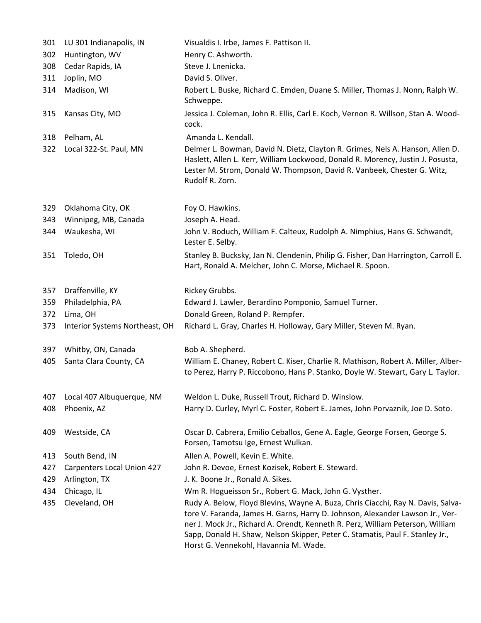| 301 | LU 301 Indianapolis, IN           | Visualdis I. Irbe, James F. Pattison II.                                                                                                                                                                                                                                                                                                                                      |
|-----|-----------------------------------|-------------------------------------------------------------------------------------------------------------------------------------------------------------------------------------------------------------------------------------------------------------------------------------------------------------------------------------------------------------------------------|
| 302 | Huntington, WV                    | Henry C. Ashworth.                                                                                                                                                                                                                                                                                                                                                            |
| 308 | Cedar Rapids, IA                  | Steve J. Lnenicka.                                                                                                                                                                                                                                                                                                                                                            |
| 311 | Joplin, MO                        | David S. Oliver.                                                                                                                                                                                                                                                                                                                                                              |
| 314 | Madison, WI                       | Robert L. Buske, Richard C. Emden, Duane S. Miller, Thomas J. Nonn, Ralph W.<br>Schweppe.                                                                                                                                                                                                                                                                                     |
| 315 | Kansas City, MO                   | Jessica J. Coleman, John R. Ellis, Carl E. Koch, Vernon R. Willson, Stan A. Wood-<br>cock.                                                                                                                                                                                                                                                                                    |
| 318 | Pelham, AL                        | Amanda L. Kendall.                                                                                                                                                                                                                                                                                                                                                            |
| 322 | Local 322-St. Paul, MN            | Delmer L. Bowman, David N. Dietz, Clayton R. Grimes, Nels A. Hanson, Allen D.<br>Haslett, Allen L. Kerr, William Lockwood, Donald R. Morency, Justin J. Posusta,<br>Lester M. Strom, Donald W. Thompson, David R. Vanbeek, Chester G. Witz,<br>Rudolf R. Zorn.                                                                                                                |
| 329 | Oklahoma City, OK                 | Foy O. Hawkins.                                                                                                                                                                                                                                                                                                                                                               |
| 343 | Winnipeg, MB, Canada              | Joseph A. Head.                                                                                                                                                                                                                                                                                                                                                               |
| 344 | Waukesha, WI                      | John V. Boduch, William F. Calteux, Rudolph A. Nimphius, Hans G. Schwandt,<br>Lester E. Selby.                                                                                                                                                                                                                                                                                |
| 351 | Toledo, OH                        | Stanley B. Bucksky, Jan N. Clendenin, Philip G. Fisher, Dan Harrington, Carroll E.<br>Hart, Ronald A. Melcher, John C. Morse, Michael R. Spoon.                                                                                                                                                                                                                               |
| 357 | Draffenville, KY                  | Rickey Grubbs.                                                                                                                                                                                                                                                                                                                                                                |
| 359 | Philadelphia, PA                  | Edward J. Lawler, Berardino Pomponio, Samuel Turner.                                                                                                                                                                                                                                                                                                                          |
| 372 | Lima, OH                          | Donald Green, Roland P. Rempfer.                                                                                                                                                                                                                                                                                                                                              |
| 373 | Interior Systems Northeast, OH    | Richard L. Gray, Charles H. Holloway, Gary Miller, Steven M. Ryan.                                                                                                                                                                                                                                                                                                            |
| 397 | Whitby, ON, Canada                | Bob A. Shepherd.                                                                                                                                                                                                                                                                                                                                                              |
| 405 | Santa Clara County, CA            | William E. Chaney, Robert C. Kiser, Charlie R. Mathison, Robert A. Miller, Alber-<br>to Perez, Harry P. Riccobono, Hans P. Stanko, Doyle W. Stewart, Gary L. Taylor.                                                                                                                                                                                                          |
| 407 | Local 407 Albuquerque, NM         | Weldon L. Duke, Russell Trout, Richard D. Winslow.                                                                                                                                                                                                                                                                                                                            |
| 408 | Phoenix, AZ                       | Harry D. Curley, Myrl C. Foster, Robert E. James, John Porvaznik, Joe D. Soto.                                                                                                                                                                                                                                                                                                |
| 409 | Westside, CA                      | Oscar D. Cabrera, Emilio Ceballos, Gene A. Eagle, George Forsen, George S.<br>Forsen, Tamotsu Ige, Ernest Wulkan.                                                                                                                                                                                                                                                             |
| 413 | South Bend, IN                    | Allen A. Powell, Kevin E. White.                                                                                                                                                                                                                                                                                                                                              |
| 427 | <b>Carpenters Local Union 427</b> | John R. Devoe, Ernest Kozisek, Robert E. Steward.                                                                                                                                                                                                                                                                                                                             |
| 429 | Arlington, TX                     | J. K. Boone Jr., Ronald A. Sikes.                                                                                                                                                                                                                                                                                                                                             |
| 434 | Chicago, IL                       | Wm R. Hogueisson Sr., Robert G. Mack, John G. Vysther.                                                                                                                                                                                                                                                                                                                        |
| 435 | Cleveland, OH                     | Rudy A. Below, Floyd Blevins, Wayne A. Buza, Chris Ciacchi, Ray N. Davis, Salva-<br>tore V. Faranda, James H. Garns, Harry D. Johnson, Alexander Lawson Jr., Ver-<br>ner J. Mock Jr., Richard A. Orendt, Kenneth R. Perz, William Peterson, William<br>Sapp, Donald H. Shaw, Nelson Skipper, Peter C. Stamatis, Paul F. Stanley Jr.,<br>Horst G. Vennekohl, Havannia M. Wade. |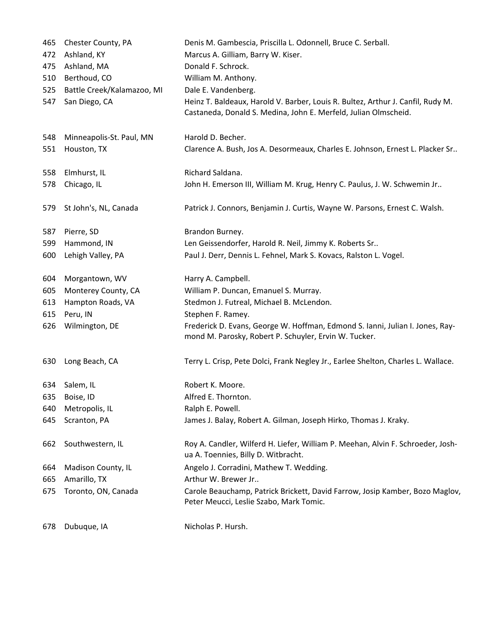| 465 | Chester County, PA         | Denis M. Gambescia, Priscilla L. Odonnell, Bruce C. Serball.                                                                                       |
|-----|----------------------------|----------------------------------------------------------------------------------------------------------------------------------------------------|
| 472 | Ashland, KY                | Marcus A. Gilliam, Barry W. Kiser.                                                                                                                 |
| 475 | Ashland, MA                | Donald F. Schrock.                                                                                                                                 |
| 510 | Berthoud, CO               | William M. Anthony.                                                                                                                                |
| 525 | Battle Creek/Kalamazoo, MI | Dale E. Vandenberg.                                                                                                                                |
| 547 | San Diego, CA              | Heinz T. Baldeaux, Harold V. Barber, Louis R. Bultez, Arthur J. Canfil, Rudy M.<br>Castaneda, Donald S. Medina, John E. Merfeld, Julian Olmscheid. |
| 548 | Minneapolis-St. Paul, MN   | Harold D. Becher.                                                                                                                                  |
| 551 | Houston, TX                | Clarence A. Bush, Jos A. Desormeaux, Charles E. Johnson, Ernest L. Placker Sr                                                                      |
| 558 | Elmhurst, IL               | Richard Saldana.                                                                                                                                   |
| 578 | Chicago, IL                | John H. Emerson III, William M. Krug, Henry C. Paulus, J. W. Schwemin Jr                                                                           |
| 579 | St John's, NL, Canada      | Patrick J. Connors, Benjamin J. Curtis, Wayne W. Parsons, Ernest C. Walsh.                                                                         |
| 587 | Pierre, SD                 | Brandon Burney.                                                                                                                                    |
| 599 | Hammond, IN                | Len Geissendorfer, Harold R. Neil, Jimmy K. Roberts Sr                                                                                             |
| 600 | Lehigh Valley, PA          | Paul J. Derr, Dennis L. Fehnel, Mark S. Kovacs, Ralston L. Vogel.                                                                                  |
| 604 | Morgantown, WV             | Harry A. Campbell.                                                                                                                                 |
| 605 | Monterey County, CA        | William P. Duncan, Emanuel S. Murray.                                                                                                              |
| 613 | Hampton Roads, VA          | Stedmon J. Futreal, Michael B. McLendon.                                                                                                           |
| 615 | Peru, IN                   | Stephen F. Ramey.                                                                                                                                  |
| 626 | Wilmington, DE             | Frederick D. Evans, George W. Hoffman, Edmond S. Ianni, Julian I. Jones, Ray-<br>mond M. Parosky, Robert P. Schuyler, Ervin W. Tucker.             |
| 630 | Long Beach, CA             | Terry L. Crisp, Pete Dolci, Frank Negley Jr., Earlee Shelton, Charles L. Wallace.                                                                  |
|     | 634 Salem, IL              | Robert K. Moore.                                                                                                                                   |
| 635 | Boise, ID                  | Alfred E. Thornton.                                                                                                                                |
| 640 | Metropolis, IL             | Ralph E. Powell.                                                                                                                                   |
| 645 | Scranton, PA               | James J. Balay, Robert A. Gilman, Joseph Hirko, Thomas J. Kraky.                                                                                   |
| 662 | Southwestern, IL           | Roy A. Candler, Wilferd H. Liefer, William P. Meehan, Alvin F. Schroeder, Josh-<br>ua A. Toennies, Billy D. Witbracht.                             |
| 664 | Madison County, IL         | Angelo J. Corradini, Mathew T. Wedding.                                                                                                            |
| 665 | Amarillo, TX               | Arthur W. Brewer Jr                                                                                                                                |
| 675 | Toronto, ON, Canada        | Carole Beauchamp, Patrick Brickett, David Farrow, Josip Kamber, Bozo Maglov,<br>Peter Meucci, Leslie Szabo, Mark Tomic.                            |
| 678 | Dubuque, IA                | Nicholas P. Hursh.                                                                                                                                 |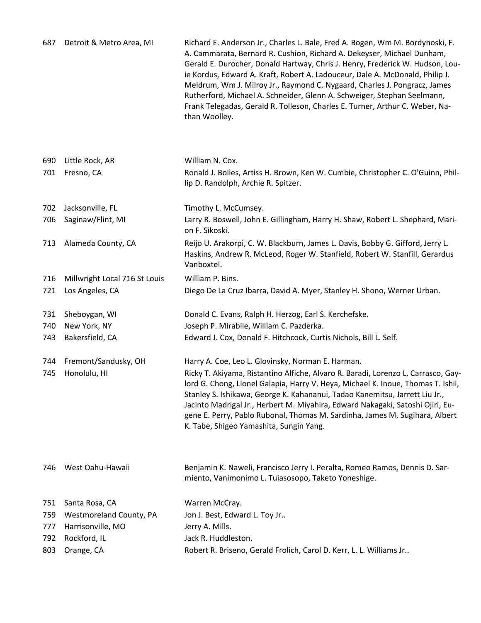| 687 | Detroit & Metro Area, MI      | Richard E. Anderson Jr., Charles L. Bale, Fred A. Bogen, Wm M. Bordynoski, F.<br>A. Cammarata, Bernard R. Cushion, Richard A. Dekeyser, Michael Dunham,<br>Gerald E. Durocher, Donald Hartway, Chris J. Henry, Frederick W. Hudson, Lou-<br>ie Kordus, Edward A. Kraft, Robert A. Ladouceur, Dale A. McDonald, Philip J.<br>Meldrum, Wm J. Milroy Jr., Raymond C. Nygaard, Charles J. Pongracz, James<br>Rutherford, Michael A. Schneider, Glenn A. Schweiger, Stephan Seelmann,<br>Frank Telegadas, Gerald R. Tolleson, Charles E. Turner, Arthur C. Weber, Na-<br>than Woolley. |
|-----|-------------------------------|-----------------------------------------------------------------------------------------------------------------------------------------------------------------------------------------------------------------------------------------------------------------------------------------------------------------------------------------------------------------------------------------------------------------------------------------------------------------------------------------------------------------------------------------------------------------------------------|
| 690 | Little Rock, AR               | William N. Cox.                                                                                                                                                                                                                                                                                                                                                                                                                                                                                                                                                                   |
| 701 | Fresno, CA                    | Ronald J. Boiles, Artiss H. Brown, Ken W. Cumbie, Christopher C. O'Guinn, Phil-<br>lip D. Randolph, Archie R. Spitzer.                                                                                                                                                                                                                                                                                                                                                                                                                                                            |
| 702 | Jacksonville, FL              | Timothy L. McCumsey.                                                                                                                                                                                                                                                                                                                                                                                                                                                                                                                                                              |
| 706 | Saginaw/Flint, MI             | Larry R. Boswell, John E. Gillingham, Harry H. Shaw, Robert L. Shephard, Mari-<br>on F. Sikoski.                                                                                                                                                                                                                                                                                                                                                                                                                                                                                  |
| 713 | Alameda County, CA            | Reijo U. Arakorpi, C. W. Blackburn, James L. Davis, Bobby G. Gifford, Jerry L.<br>Haskins, Andrew R. McLeod, Roger W. Stanfield, Robert W. Stanfill, Gerardus<br>Vanboxtel.                                                                                                                                                                                                                                                                                                                                                                                                       |
| 716 | Millwright Local 716 St Louis | William P. Bins.                                                                                                                                                                                                                                                                                                                                                                                                                                                                                                                                                                  |
| 721 | Los Angeles, CA               | Diego De La Cruz Ibarra, David A. Myer, Stanley H. Shono, Werner Urban.                                                                                                                                                                                                                                                                                                                                                                                                                                                                                                           |
| 731 | Sheboygan, WI                 | Donald C. Evans, Ralph H. Herzog, Earl S. Kerchefske.                                                                                                                                                                                                                                                                                                                                                                                                                                                                                                                             |
| 740 | New York, NY                  | Joseph P. Mirabile, William C. Pazderka.                                                                                                                                                                                                                                                                                                                                                                                                                                                                                                                                          |
| 743 | Bakersfield, CA               | Edward J. Cox, Donald F. Hitchcock, Curtis Nichols, Bill L. Self.                                                                                                                                                                                                                                                                                                                                                                                                                                                                                                                 |
| 744 | Fremont/Sandusky, OH          | Harry A. Coe, Leo L. Glovinsky, Norman E. Harman.                                                                                                                                                                                                                                                                                                                                                                                                                                                                                                                                 |
| 745 | Honolulu, HI                  | Ricky T. Akiyama, Ristantino Alfiche, Alvaro R. Baradi, Lorenzo L. Carrasco, Gay-<br>lord G. Chong, Lionel Galapia, Harry V. Heya, Michael K. Inoue, Thomas T. Ishii,<br>Stanley S. Ishikawa, George K. Kahananui, Tadao Kanemitsu, Jarrett Liu Jr.,<br>Jacinto Madrigal Jr., Herbert M. Miyahira, Edward Nakagaki, Satoshi Ojiri, Eu-<br>gene E. Perry, Pablo Rubonal, Thomas M. Sardinha, James M. Sugihara, Albert<br>K. Tabe, Shigeo Yamashita, Sungin Yang.                                                                                                                  |
| 746 | West Oahu-Hawaii              | Benjamin K. Naweli, Francisco Jerry I. Peralta, Romeo Ramos, Dennis D. Sar-<br>miento, Vanimonimo L. Tuiasosopo, Taketo Yoneshige.                                                                                                                                                                                                                                                                                                                                                                                                                                                |
| 751 | Santa Rosa, CA                | Warren McCray.                                                                                                                                                                                                                                                                                                                                                                                                                                                                                                                                                                    |
| 759 | Westmoreland County, PA       | Jon J. Best, Edward L. Toy Jr                                                                                                                                                                                                                                                                                                                                                                                                                                                                                                                                                     |
| 777 | Harrisonville, MO             | Jerry A. Mills.                                                                                                                                                                                                                                                                                                                                                                                                                                                                                                                                                                   |
| 792 | Rockford, IL                  | Jack R. Huddleston.                                                                                                                                                                                                                                                                                                                                                                                                                                                                                                                                                               |
| 803 | Orange, CA                    | Robert R. Briseno, Gerald Frolich, Carol D. Kerr, L. L. Williams Jr                                                                                                                                                                                                                                                                                                                                                                                                                                                                                                               |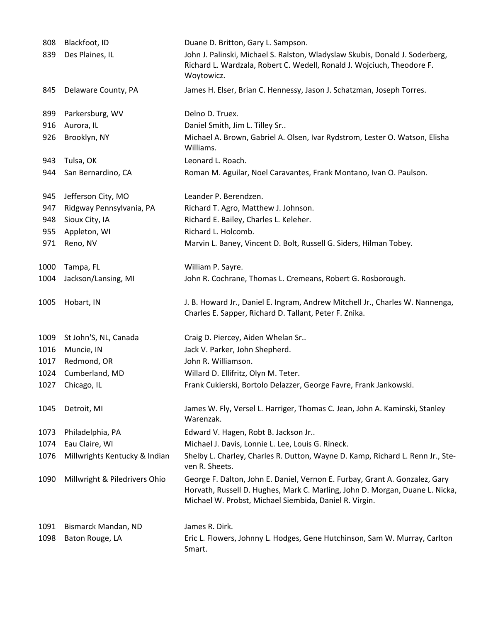| 808  | Blackfoot, ID                 | Duane D. Britton, Gary L. Sampson.                                                                                                                                                                                    |
|------|-------------------------------|-----------------------------------------------------------------------------------------------------------------------------------------------------------------------------------------------------------------------|
| 839  | Des Plaines, IL               | John J. Palinski, Michael S. Ralston, Wladyslaw Skubis, Donald J. Soderberg,<br>Richard L. Wardzala, Robert C. Wedell, Ronald J. Wojciuch, Theodore F.<br>Woytowicz.                                                  |
| 845  | Delaware County, PA           | James H. Elser, Brian C. Hennessy, Jason J. Schatzman, Joseph Torres.                                                                                                                                                 |
| 899  | Parkersburg, WV               | Delno D. Truex.                                                                                                                                                                                                       |
| 916  | Aurora, IL                    | Daniel Smith, Jim L. Tilley Sr                                                                                                                                                                                        |
| 926  | Brooklyn, NY                  | Michael A. Brown, Gabriel A. Olsen, Ivar Rydstrom, Lester O. Watson, Elisha<br>Williams.                                                                                                                              |
| 943  | Tulsa, OK                     | Leonard L. Roach.                                                                                                                                                                                                     |
| 944  | San Bernardino, CA            | Roman M. Aguilar, Noel Caravantes, Frank Montano, Ivan O. Paulson.                                                                                                                                                    |
| 945  | Jefferson City, MO            | Leander P. Berendzen.                                                                                                                                                                                                 |
| 947  | Ridgway Pennsylvania, PA      | Richard T. Agro, Matthew J. Johnson.                                                                                                                                                                                  |
| 948  | Sioux City, IA                | Richard E. Bailey, Charles L. Keleher.                                                                                                                                                                                |
| 955  | Appleton, WI                  | Richard L. Holcomb.                                                                                                                                                                                                   |
| 971  | Reno, NV                      | Marvin L. Baney, Vincent D. Bolt, Russell G. Siders, Hilman Tobey.                                                                                                                                                    |
| 1000 | Tampa, FL                     | William P. Sayre.                                                                                                                                                                                                     |
| 1004 | Jackson/Lansing, MI           | John R. Cochrane, Thomas L. Cremeans, Robert G. Rosborough.                                                                                                                                                           |
| 1005 | Hobart, IN                    | J. B. Howard Jr., Daniel E. Ingram, Andrew Mitchell Jr., Charles W. Nannenga,<br>Charles E. Sapper, Richard D. Tallant, Peter F. Znika.                                                                               |
| 1009 | St John'S, NL, Canada         | Craig D. Piercey, Aiden Whelan Sr                                                                                                                                                                                     |
| 1016 | Muncie, IN                    | Jack V. Parker, John Shepherd.                                                                                                                                                                                        |
| 1017 | Redmond, OR                   | John R. Williamson.                                                                                                                                                                                                   |
| 1024 | Cumberland, MD                | Willard D. Ellifritz, Olyn M. Teter.                                                                                                                                                                                  |
| 1027 | Chicago, IL                   | Frank Cukierski, Bortolo Delazzer, George Favre, Frank Jankowski.                                                                                                                                                     |
| 1045 | Detroit, MI                   | James W. Fly, Versel L. Harriger, Thomas C. Jean, John A. Kaminski, Stanley<br>Warenzak.                                                                                                                              |
| 1073 | Philadelphia, PA              | Edward V. Hagen, Robt B. Jackson Jr                                                                                                                                                                                   |
| 1074 | Eau Claire, WI                | Michael J. Davis, Lonnie L. Lee, Louis G. Rineck.                                                                                                                                                                     |
| 1076 | Millwrights Kentucky & Indian | Shelby L. Charley, Charles R. Dutton, Wayne D. Kamp, Richard L. Renn Jr., Ste-<br>ven R. Sheets.                                                                                                                      |
| 1090 | Millwright & Piledrivers Ohio | George F. Dalton, John E. Daniel, Vernon E. Furbay, Grant A. Gonzalez, Gary<br>Horvath, Russell D. Hughes, Mark C. Marling, John D. Morgan, Duane L. Nicka,<br>Michael W. Probst, Michael Siembida, Daniel R. Virgin. |
| 1091 | Bismarck Mandan, ND           | James R. Dirk.                                                                                                                                                                                                        |
| 1098 | Baton Rouge, LA               | Eric L. Flowers, Johnny L. Hodges, Gene Hutchinson, Sam W. Murray, Carlton<br>Smart.                                                                                                                                  |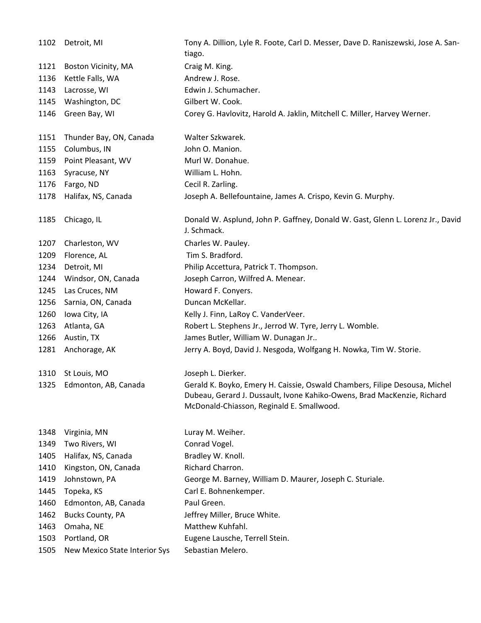| 1102 | Detroit, MI                   | Tony A. Dillion, Lyle R. Foote, Carl D. Messer, Dave D. Raniszewski, Jose A. San-<br>tiago.                                                                                                        |
|------|-------------------------------|----------------------------------------------------------------------------------------------------------------------------------------------------------------------------------------------------|
| 1121 | Boston Vicinity, MA           | Craig M. King.                                                                                                                                                                                     |
| 1136 | Kettle Falls, WA              | Andrew J. Rose.                                                                                                                                                                                    |
| 1143 | Lacrosse, WI                  | Edwin J. Schumacher.                                                                                                                                                                               |
| 1145 | Washington, DC                | Gilbert W. Cook.                                                                                                                                                                                   |
| 1146 | Green Bay, WI                 | Corey G. Havlovitz, Harold A. Jaklin, Mitchell C. Miller, Harvey Werner.                                                                                                                           |
| 1151 | Thunder Bay, ON, Canada       | Walter Szkwarek.                                                                                                                                                                                   |
| 1155 | Columbus, IN                  | John O. Manion.                                                                                                                                                                                    |
| 1159 | Point Pleasant, WV            | Murl W. Donahue.                                                                                                                                                                                   |
| 1163 | Syracuse, NY                  | William L. Hohn.                                                                                                                                                                                   |
| 1176 | Fargo, ND                     | Cecil R. Zarling.                                                                                                                                                                                  |
| 1178 | Halifax, NS, Canada           | Joseph A. Bellefountaine, James A. Crispo, Kevin G. Murphy.                                                                                                                                        |
| 1185 | Chicago, IL                   | Donald W. Asplund, John P. Gaffney, Donald W. Gast, Glenn L. Lorenz Jr., David<br>J. Schmack.                                                                                                      |
| 1207 | Charleston, WV                | Charles W. Pauley.                                                                                                                                                                                 |
| 1209 | Florence, AL                  | Tim S. Bradford.                                                                                                                                                                                   |
| 1234 | Detroit, MI                   | Philip Accettura, Patrick T. Thompson.                                                                                                                                                             |
| 1244 | Windsor, ON, Canada           | Joseph Carron, Wilfred A. Menear.                                                                                                                                                                  |
| 1245 | Las Cruces, NM                | Howard F. Conyers.                                                                                                                                                                                 |
| 1256 | Sarnia, ON, Canada            | Duncan McKellar.                                                                                                                                                                                   |
| 1260 | Iowa City, IA                 | Kelly J. Finn, LaRoy C. VanderVeer.                                                                                                                                                                |
| 1263 | Atlanta, GA                   | Robert L. Stephens Jr., Jerrod W. Tyre, Jerry L. Womble.                                                                                                                                           |
| 1266 | Austin, TX                    | James Butler, William W. Dunagan Jr                                                                                                                                                                |
| 1281 | Anchorage, AK                 | Jerry A. Boyd, David J. Nesgoda, Wolfgang H. Nowka, Tim W. Storie.                                                                                                                                 |
| 1310 | St Louis, MO                  | Joseph L. Dierker.                                                                                                                                                                                 |
| 1325 | Edmonton, AB, Canada          | Gerald K. Boyko, Emery H. Caissie, Oswald Chambers, Filipe Desousa, Michel<br>Dubeau, Gerard J. Dussault, Ivone Kahiko-Owens, Brad MacKenzie, Richard<br>McDonald-Chiasson, Reginald E. Smallwood. |
| 1348 | Virginia, MN                  | Luray M. Weiher.                                                                                                                                                                                   |
| 1349 | Two Rivers, WI                | Conrad Vogel.                                                                                                                                                                                      |
| 1405 | Halifax, NS, Canada           | Bradley W. Knoll.                                                                                                                                                                                  |
| 1410 | Kingston, ON, Canada          | Richard Charron.                                                                                                                                                                                   |
| 1419 | Johnstown, PA                 | George M. Barney, William D. Maurer, Joseph C. Sturiale.                                                                                                                                           |
| 1445 | Topeka, KS                    | Carl E. Bohnenkemper.                                                                                                                                                                              |
| 1460 | Edmonton, AB, Canada          | Paul Green.                                                                                                                                                                                        |
| 1462 | <b>Bucks County, PA</b>       | Jeffrey Miller, Bruce White.                                                                                                                                                                       |
| 1463 | Omaha, NE                     | Matthew Kuhfahl.                                                                                                                                                                                   |
| 1503 | Portland, OR                  | Eugene Lausche, Terrell Stein.                                                                                                                                                                     |
| 1505 | New Mexico State Interior Sys | Sebastian Melero.                                                                                                                                                                                  |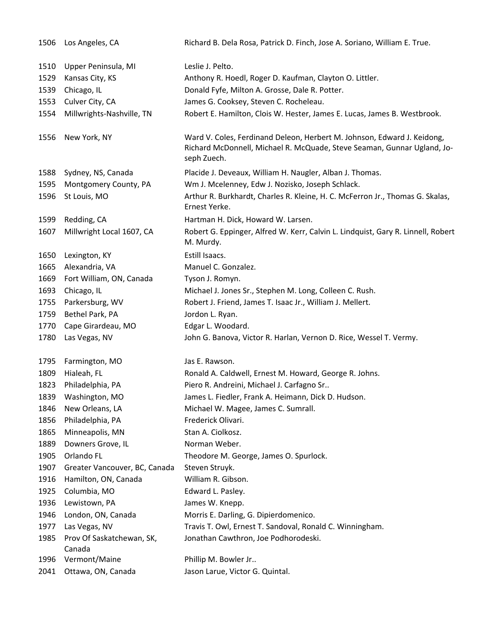| 1506 | Los Angeles, CA                     | Richard B. Dela Rosa, Patrick D. Finch, Jose A. Soriano, William E. True.                                                                                         |
|------|-------------------------------------|-------------------------------------------------------------------------------------------------------------------------------------------------------------------|
| 1510 | Upper Peninsula, MI                 | Leslie J. Pelto.                                                                                                                                                  |
| 1529 | Kansas City, KS                     | Anthony R. Hoedl, Roger D. Kaufman, Clayton O. Littler.                                                                                                           |
| 1539 | Chicago, IL                         | Donald Fyfe, Milton A. Grosse, Dale R. Potter.                                                                                                                    |
| 1553 | Culver City, CA                     | James G. Cooksey, Steven C. Rocheleau.                                                                                                                            |
| 1554 | Millwrights-Nashville, TN           | Robert E. Hamilton, Clois W. Hester, James E. Lucas, James B. Westbrook.                                                                                          |
| 1556 | New York, NY                        | Ward V. Coles, Ferdinand Deleon, Herbert M. Johnson, Edward J. Keidong,<br>Richard McDonnell, Michael R. McQuade, Steve Seaman, Gunnar Ugland, Jo-<br>seph Zuech. |
| 1588 | Sydney, NS, Canada                  | Placide J. Deveaux, William H. Naugler, Alban J. Thomas.                                                                                                          |
| 1595 | Montgomery County, PA               | Wm J. Mcelenney, Edw J. Nozisko, Joseph Schlack.                                                                                                                  |
| 1596 | St Louis, MO                        | Arthur R. Burkhardt, Charles R. Kleine, H. C. McFerron Jr., Thomas G. Skalas,<br>Ernest Yerke.                                                                    |
| 1599 | Redding, CA                         | Hartman H. Dick, Howard W. Larsen.                                                                                                                                |
| 1607 | Millwright Local 1607, CA           | Robert G. Eppinger, Alfred W. Kerr, Calvin L. Lindquist, Gary R. Linnell, Robert<br>M. Murdy.                                                                     |
| 1650 | Lexington, KY                       | Estill Isaacs.                                                                                                                                                    |
| 1665 | Alexandria, VA                      | Manuel C. Gonzalez.                                                                                                                                               |
| 1669 | Fort William, ON, Canada            | Tyson J. Romyn.                                                                                                                                                   |
| 1693 | Chicago, IL                         | Michael J. Jones Sr., Stephen M. Long, Colleen C. Rush.                                                                                                           |
| 1755 | Parkersburg, WV                     | Robert J. Friend, James T. Isaac Jr., William J. Mellert.                                                                                                         |
| 1759 | Bethel Park, PA                     | Jordon L. Ryan.                                                                                                                                                   |
| 1770 | Cape Girardeau, MO                  | Edgar L. Woodard.                                                                                                                                                 |
| 1780 | Las Vegas, NV                       | John G. Banova, Victor R. Harlan, Vernon D. Rice, Wessel T. Vermy.                                                                                                |
| 1795 | Farmington, MO                      | Jas E. Rawson.                                                                                                                                                    |
| 1809 | Hialeah, FL                         | Ronald A. Caldwell, Ernest M. Howard, George R. Johns.                                                                                                            |
| 1823 | Philadelphia, PA                    | Piero R. Andreini, Michael J. Carfagno Sr                                                                                                                         |
| 1839 | Washington, MO                      | James L. Fiedler, Frank A. Heimann, Dick D. Hudson.                                                                                                               |
| 1846 | New Orleans, LA                     | Michael W. Magee, James C. Sumrall.                                                                                                                               |
| 1856 | Philadelphia, PA                    | Frederick Olivari.                                                                                                                                                |
| 1865 | Minneapolis, MN                     | Stan A. Ciolkosz.                                                                                                                                                 |
| 1889 | Downers Grove, IL                   | Norman Weber.                                                                                                                                                     |
| 1905 | Orlando FL                          | Theodore M. George, James O. Spurlock.                                                                                                                            |
| 1907 | Greater Vancouver, BC, Canada       | Steven Struyk.                                                                                                                                                    |
| 1916 | Hamilton, ON, Canada                | William R. Gibson.                                                                                                                                                |
| 1925 | Columbia, MO                        | Edward L. Pasley.                                                                                                                                                 |
| 1936 | Lewistown, PA                       | James W. Knepp.                                                                                                                                                   |
| 1946 | London, ON, Canada                  | Morris E. Darling, G. Dipierdomenico.                                                                                                                             |
| 1977 | Las Vegas, NV                       | Travis T. Owl, Ernest T. Sandoval, Ronald C. Winningham.                                                                                                          |
| 1985 | Prov Of Saskatchewan, SK,<br>Canada | Jonathan Cawthron, Joe Podhorodeski.                                                                                                                              |
| 1996 | Vermont/Maine                       | Phillip M. Bowler Jr                                                                                                                                              |
| 2041 | Ottawa, ON, Canada                  | Jason Larue, Victor G. Quintal.                                                                                                                                   |